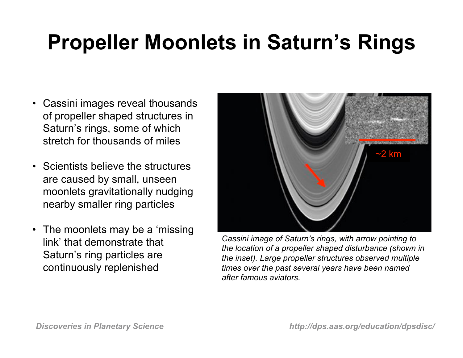### **Propeller Moonlets in Saturn's Rings**

- Cassini images reveal thousands of propeller shaped structures in Saturn's rings, some of which stretch for thousands of miles
- Scientists believe the structures are caused by small, unseen moonlets gravitationally nudging nearby smaller ring particles
- The moonlets may be a 'missing' link' that demonstrate that Saturn's ring particles are continuously replenished



*Cassini image of Saturn's rings, with arrow pointing to the location of a propeller shaped disturbance (shown in the inset). Large propeller structures observed multiple times over the past several years have been named after famous aviators.*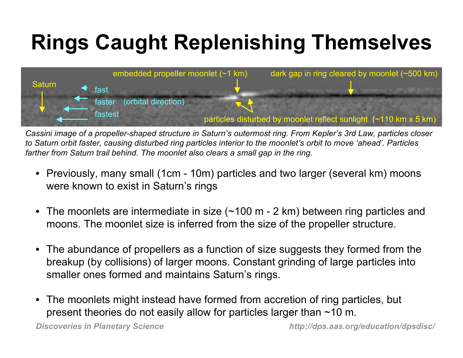# **Rings Caught Replenishing Themselves**



*Cassini image of a propeller-shaped structure in Saturn's outermost ring. From Kepler's 3rd Law, particles closer to Saturn orbit faster, causing disturbed ring particles interior to the moonlet's orbit to move 'ahead'. Particles farther from Saturn trail behind. The moonlet also clears a small gap in the ring.*

- Previously, many small (1cm 10m) particles and two larger (several km) moons were known to exist in Saturn's rings
- The moonlets are intermediate in size (~100 m 2 km) between ring particles and moons. The moonlet size is inferred from the size of the propeller structure.
- The abundance of propellers as a function of size suggests they formed from the breakup (by collisions) of larger moons. Constant grinding of large particles into smaller ones formed and maintains Saturn's rings.
- The moonlets might instead have formed from accretion of ring particles, but present theories do not easily allow for particles larger than ~10 m.

*Discoveries in Planetary Science http://dps.aas.org/education/dpsdisc/*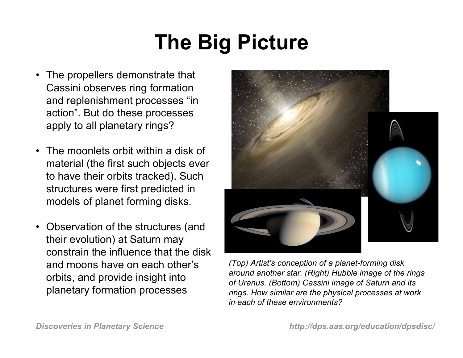## **The Big Picture**

- The propellers demonstrate that Cassini observes ring formation and replenishment processes "in action". But do these processes apply to all planetary rings?
- The moonlets orbit within a disk of material (the first such objects ever to have their orbits tracked). Such structures were first predicted in models of planet forming disks.
- Observation of the structures (and their evolution) at Saturn may constrain the influence that the disk and moons have on each other's orbits, and provide insight into planetary formation processes



*(Top) Artist's conception of a planet-forming disk around another star. (Right) Hubble image of the rings of Uranus. (Bottom) Cassini image of Saturn and its rings. How similar are the physical processes at work in each of these environments?*